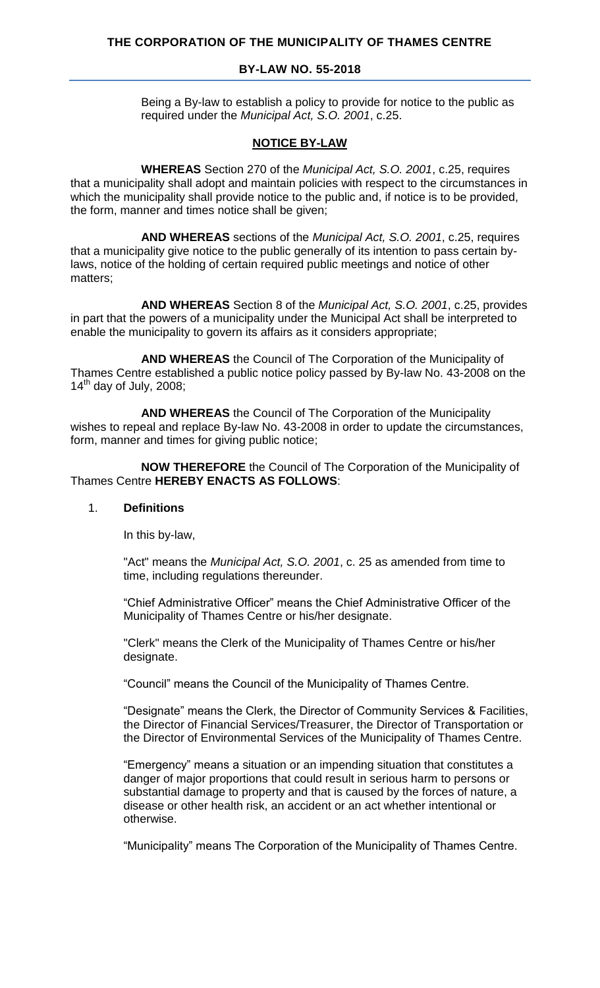#### **THE CORPORATION OF THE MUNICIPALITY OF THAMES CENTRE**

#### **BY-LAW NO. 55-2018**

Being a By-law to establish a policy to provide for notice to the public as required under the *Municipal Act, S.O. 2001*, c.25.

#### **NOTICE BY-LAW**

**WHEREAS** Section 270 of the *Municipal Act, S.O. 2001*, c.25, requires that a municipality shall adopt and maintain policies with respect to the circumstances in which the municipality shall provide notice to the public and, if notice is to be provided, the form, manner and times notice shall be given;

**AND WHEREAS** sections of the *Municipal Act, S.O. 2001*, c.25, requires that a municipality give notice to the public generally of its intention to pass certain bylaws, notice of the holding of certain required public meetings and notice of other matters;

**AND WHEREAS** Section 8 of the *Municipal Act, S.O. 2001*, c.25, provides in part that the powers of a municipality under the Municipal Act shall be interpreted to enable the municipality to govern its affairs as it considers appropriate;

**AND WHEREAS** the Council of The Corporation of the Municipality of Thames Centre established a public notice policy passed by By-law No. 43-2008 on the  $14^{\text{th}}$  day of July, 2008;

**AND WHEREAS** the Council of The Corporation of the Municipality wishes to repeal and replace By-law No. 43-2008 in order to update the circumstances, form, manner and times for giving public notice;

**NOW THEREFORE** the Council of The Corporation of the Municipality of Thames Centre **HEREBY ENACTS AS FOLLOWS**:

#### 1. **Definitions**

In this by-law,

"Act" means the *Municipal Act, S.O. 2001*, c. 25 as amended from time to time, including regulations thereunder.

"Chief Administrative Officer" means the Chief Administrative Officer of the Municipality of Thames Centre or his/her designate.

"Clerk" means the Clerk of the Municipality of Thames Centre or his/her designate.

"Council" means the Council of the Municipality of Thames Centre.

"Designate" means the Clerk, the Director of Community Services & Facilities, the Director of Financial Services/Treasurer, the Director of Transportation or the Director of Environmental Services of the Municipality of Thames Centre.

"Emergency" means a situation or an impending situation that constitutes a danger of major proportions that could result in serious harm to persons or substantial damage to property and that is caused by the forces of nature, a disease or other health risk, an accident or an act whether intentional or otherwise.

"Municipality" means The Corporation of the Municipality of Thames Centre.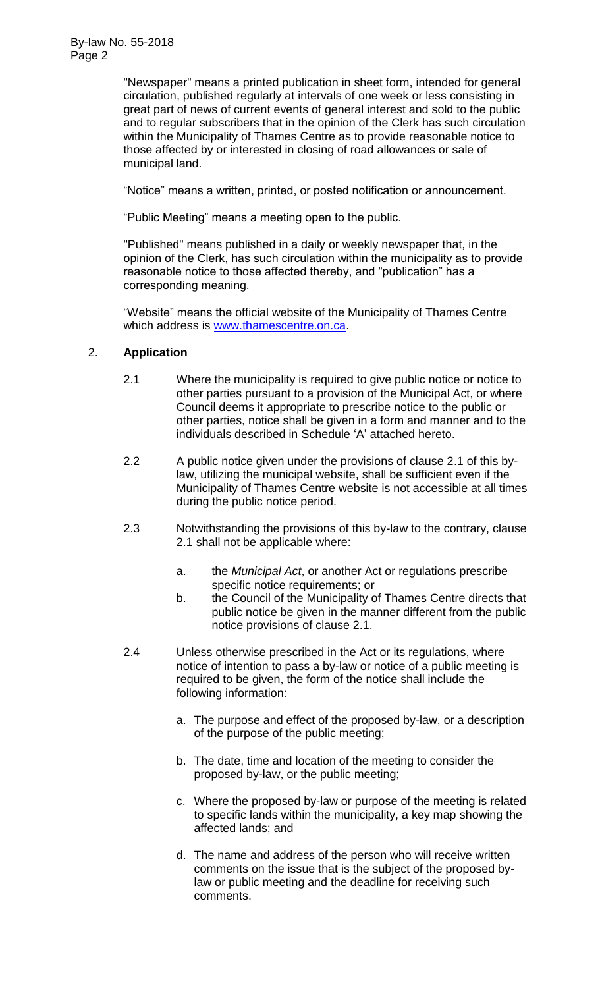"Newspaper" means a printed publication in sheet form, intended for general circulation, published regularly at intervals of one week or less consisting in great part of news of current events of general interest and sold to the public and to regular subscribers that in the opinion of the Clerk has such circulation within the Municipality of Thames Centre as to provide reasonable notice to those affected by or interested in closing of road allowances or sale of municipal land.

"Notice" means a written, printed, or posted notification or announcement.

"Public Meeting" means a meeting open to the public.

"Published" means published in a daily or weekly newspaper that, in the opinion of the Clerk, has such circulation within the municipality as to provide reasonable notice to those affected thereby, and "publication" has a corresponding meaning.

"Website" means the official website of the Municipality of Thames Centre which address is [www.thamescentre.on.ca.](http://www.thamescentre.on.ca/)

## 2. **Application**

- 2.1 Where the municipality is required to give public notice or notice to other parties pursuant to a provision of the Municipal Act, or where Council deems it appropriate to prescribe notice to the public or other parties, notice shall be given in a form and manner and to the individuals described in Schedule 'A' attached hereto.
- 2.2 A public notice given under the provisions of clause 2.1 of this bylaw, utilizing the municipal website, shall be sufficient even if the Municipality of Thames Centre website is not accessible at all times during the public notice period.
- 2.3 Notwithstanding the provisions of this by-law to the contrary, clause 2.1 shall not be applicable where:
	- a. the *Municipal Act*, or another Act or regulations prescribe specific notice requirements; or
	- b. the Council of the Municipality of Thames Centre directs that public notice be given in the manner different from the public notice provisions of clause 2.1.
- 2.4 Unless otherwise prescribed in the Act or its regulations, where notice of intention to pass a by-law or notice of a public meeting is required to be given, the form of the notice shall include the following information:
	- a. The purpose and effect of the proposed by-law, or a description of the purpose of the public meeting;
	- b. The date, time and location of the meeting to consider the proposed by-law, or the public meeting;
	- c. Where the proposed by-law or purpose of the meeting is related to specific lands within the municipality, a key map showing the affected lands; and
	- d. The name and address of the person who will receive written comments on the issue that is the subject of the proposed bylaw or public meeting and the deadline for receiving such comments.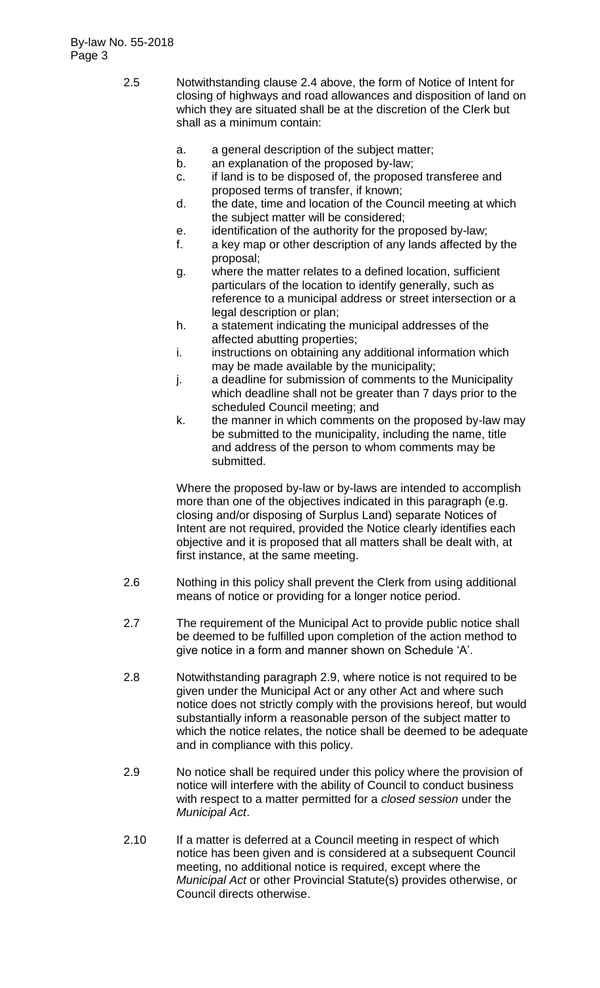- 2.5 Notwithstanding clause 2.4 above, the form of Notice of Intent for closing of highways and road allowances and disposition of land on which they are situated shall be at the discretion of the Clerk but shall as a minimum contain:
	- a. a general description of the subject matter;
	- b. an explanation of the proposed by-law;
	- c. if land is to be disposed of, the proposed transferee and proposed terms of transfer, if known;
	- d. the date, time and location of the Council meeting at which the subject matter will be considered;
	- e. identification of the authority for the proposed by-law;
	- f. a key map or other description of any lands affected by the proposal;
	- g. where the matter relates to a defined location, sufficient particulars of the location to identify generally, such as reference to a municipal address or street intersection or a legal description or plan;
	- h. a statement indicating the municipal addresses of the affected abutting properties;
	- i. instructions on obtaining any additional information which may be made available by the municipality;
	- j. a deadline for submission of comments to the Municipality which deadline shall not be greater than 7 days prior to the scheduled Council meeting; and
	- k. the manner in which comments on the proposed by-law may be submitted to the municipality, including the name, title and address of the person to whom comments may be submitted.

Where the proposed by-law or by-laws are intended to accomplish more than one of the objectives indicated in this paragraph (e.g. closing and/or disposing of Surplus Land) separate Notices of Intent are not required, provided the Notice clearly identifies each objective and it is proposed that all matters shall be dealt with, at first instance, at the same meeting.

- 2.6 Nothing in this policy shall prevent the Clerk from using additional means of notice or providing for a longer notice period.
- 2.7 The requirement of the Municipal Act to provide public notice shall be deemed to be fulfilled upon completion of the action method to give notice in a form and manner shown on Schedule 'A'.
- 2.8 Notwithstanding paragraph 2.9, where notice is not required to be given under the Municipal Act or any other Act and where such notice does not strictly comply with the provisions hereof, but would substantially inform a reasonable person of the subject matter to which the notice relates, the notice shall be deemed to be adequate and in compliance with this policy.
- 2.9 No notice shall be required under this policy where the provision of notice will interfere with the ability of Council to conduct business with respect to a matter permitted for a *closed session* under the *Municipal Act*.
- 2.10 If a matter is deferred at a Council meeting in respect of which notice has been given and is considered at a subsequent Council meeting, no additional notice is required, except where the *Municipal Act* or other Provincial Statute(s) provides otherwise, or Council directs otherwise.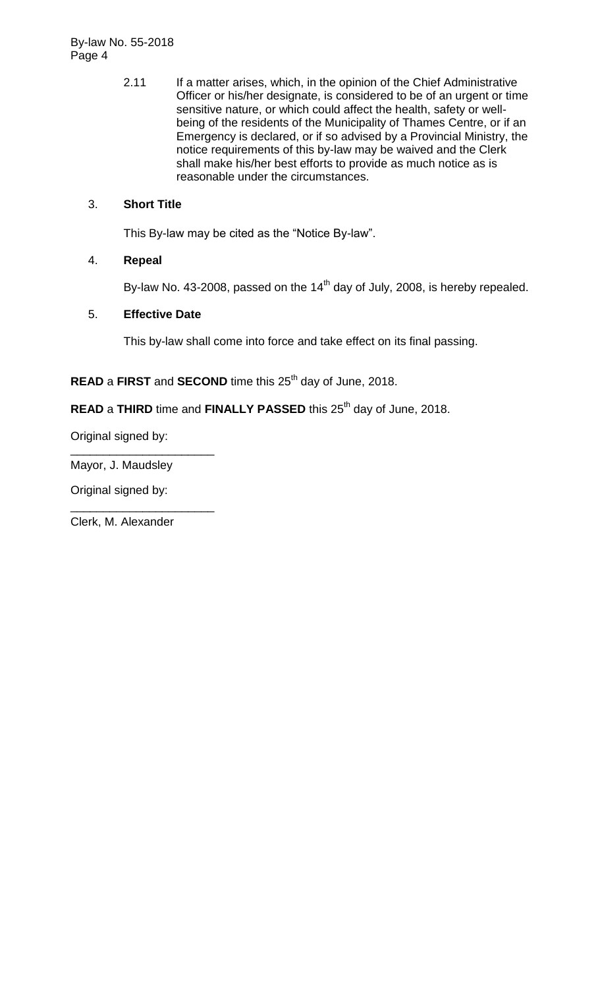By-law No. 55-2018 Page 4

> 2.11 If a matter arises, which, in the opinion of the Chief Administrative Officer or his/her designate, is considered to be of an urgent or time sensitive nature, or which could affect the health, safety or wellbeing of the residents of the Municipality of Thames Centre, or if an Emergency is declared, or if so advised by a Provincial Ministry, the notice requirements of this by-law may be waived and the Clerk shall make his/her best efforts to provide as much notice as is reasonable under the circumstances.

#### 3. **Short Title**

This By-law may be cited as the "Notice By-law".

## 4. **Repeal**

By-law No. 43-2008, passed on the  $14<sup>th</sup>$  day of July, 2008, is hereby repealed.

## 5. **Effective Date**

This by-law shall come into force and take effect on its final passing.

# **READ** a **FIRST** and **SECOND** time this 25<sup>th</sup> day of June, 2018.

## **READ** a THIRD time and FINALLY PASSED this 25<sup>th</sup> day of June, 2018.

Original signed by:

\_\_\_\_\_\_\_\_\_\_\_\_\_\_\_\_\_\_\_\_\_\_ Mayor, J. Maudsley

Original signed by:

Clerk, M. Alexander

\_\_\_\_\_\_\_\_\_\_\_\_\_\_\_\_\_\_\_\_\_\_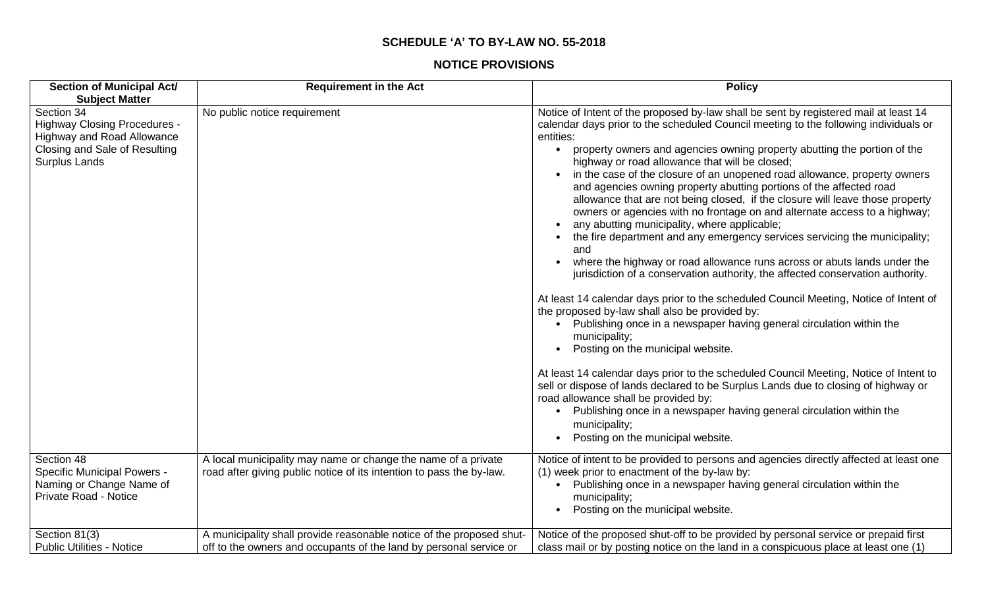#### **SCHEDULE 'A' TO BY-LAW NO. 55-2018**

#### **NOTICE PROVISIONS**

| <b>Section of Municipal Act/</b>                                                                                                         | <b>Requirement in the Act</b>                                                                                                              | <b>Policy</b>                                                                                                                                                                                                                                                                                                                                                                                                                                                                                                                                                                                                                                                                                                                                                             |
|------------------------------------------------------------------------------------------------------------------------------------------|--------------------------------------------------------------------------------------------------------------------------------------------|---------------------------------------------------------------------------------------------------------------------------------------------------------------------------------------------------------------------------------------------------------------------------------------------------------------------------------------------------------------------------------------------------------------------------------------------------------------------------------------------------------------------------------------------------------------------------------------------------------------------------------------------------------------------------------------------------------------------------------------------------------------------------|
| <b>Subject Matter</b>                                                                                                                    |                                                                                                                                            |                                                                                                                                                                                                                                                                                                                                                                                                                                                                                                                                                                                                                                                                                                                                                                           |
| Section 34<br><b>Highway Closing Procedures -</b><br><b>Highway and Road Allowance</b><br>Closing and Sale of Resulting<br>Surplus Lands | No public notice requirement                                                                                                               | Notice of Intent of the proposed by-law shall be sent by registered mail at least 14<br>calendar days prior to the scheduled Council meeting to the following individuals or<br>entities:<br>• property owners and agencies owning property abutting the portion of the<br>highway or road allowance that will be closed;<br>in the case of the closure of an unopened road allowance, property owners<br>and agencies owning property abutting portions of the affected road<br>allowance that are not being closed, if the closure will leave those property<br>owners or agencies with no frontage on and alternate access to a highway;<br>any abutting municipality, where applicable;<br>the fire department and any emergency services servicing the municipality; |
|                                                                                                                                          |                                                                                                                                            | and<br>where the highway or road allowance runs across or abuts lands under the<br>jurisdiction of a conservation authority, the affected conservation authority.<br>At least 14 calendar days prior to the scheduled Council Meeting, Notice of Intent of<br>the proposed by-law shall also be provided by:<br>Publishing once in a newspaper having general circulation within the<br>municipality;<br>Posting on the municipal website.                                                                                                                                                                                                                                                                                                                                |
|                                                                                                                                          |                                                                                                                                            | At least 14 calendar days prior to the scheduled Council Meeting, Notice of Intent to<br>sell or dispose of lands declared to be Surplus Lands due to closing of highway or<br>road allowance shall be provided by:<br>Publishing once in a newspaper having general circulation within the<br>municipality;<br>Posting on the municipal website.                                                                                                                                                                                                                                                                                                                                                                                                                         |
| Section 48<br><b>Specific Municipal Powers -</b><br>Naming or Change Name of<br><b>Private Road - Notice</b>                             | A local municipality may name or change the name of a private<br>road after giving public notice of its intention to pass the by-law.      | Notice of intent to be provided to persons and agencies directly affected at least one<br>(1) week prior to enactment of the by-law by:<br>Publishing once in a newspaper having general circulation within the<br>municipality;<br>Posting on the municipal website.                                                                                                                                                                                                                                                                                                                                                                                                                                                                                                     |
| Section 81(3)<br><b>Public Utilities - Notice</b>                                                                                        | A municipality shall provide reasonable notice of the proposed shut-<br>off to the owners and occupants of the land by personal service or | Notice of the proposed shut-off to be provided by personal service or prepaid first<br>class mail or by posting notice on the land in a conspicuous place at least one (1)                                                                                                                                                                                                                                                                                                                                                                                                                                                                                                                                                                                                |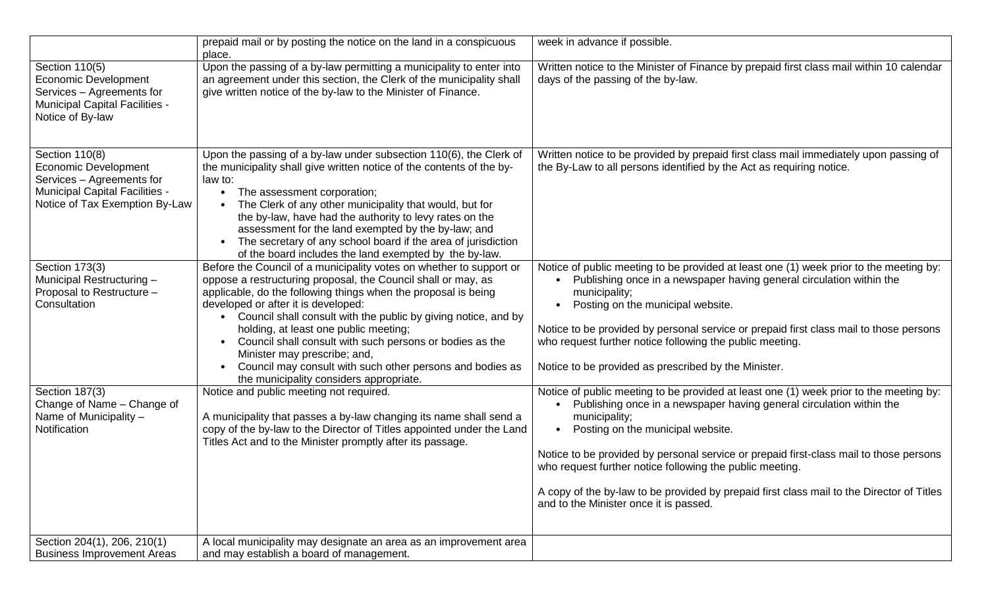|                                                                                                                                                       | prepaid mail or by posting the notice on the land in a conspicuous<br>place.                                                                                                                                                                                                                                                                                                                                                                                                                                                                                 | week in advance if possible.                                                                                                                                                                                                                                                                                                                                                                                                                                                                                      |
|-------------------------------------------------------------------------------------------------------------------------------------------------------|--------------------------------------------------------------------------------------------------------------------------------------------------------------------------------------------------------------------------------------------------------------------------------------------------------------------------------------------------------------------------------------------------------------------------------------------------------------------------------------------------------------------------------------------------------------|-------------------------------------------------------------------------------------------------------------------------------------------------------------------------------------------------------------------------------------------------------------------------------------------------------------------------------------------------------------------------------------------------------------------------------------------------------------------------------------------------------------------|
| Section 110(5)<br><b>Economic Development</b><br>Services - Agreements for<br><b>Municipal Capital Facilities -</b><br>Notice of By-law               | Upon the passing of a by-law permitting a municipality to enter into<br>an agreement under this section, the Clerk of the municipality shall<br>give written notice of the by-law to the Minister of Finance.                                                                                                                                                                                                                                                                                                                                                | Written notice to the Minister of Finance by prepaid first class mail within 10 calendar<br>days of the passing of the by-law.                                                                                                                                                                                                                                                                                                                                                                                    |
| Section 110(8)<br><b>Economic Development</b><br>Services - Agreements for<br><b>Municipal Capital Facilities -</b><br>Notice of Tax Exemption By-Law | Upon the passing of a by-law under subsection 110(6), the Clerk of<br>the municipality shall give written notice of the contents of the by-<br>law to:<br>The assessment corporation;<br>The Clerk of any other municipality that would, but for<br>the by-law, have had the authority to levy rates on the<br>assessment for the land exempted by the by-law; and<br>The secretary of any school board if the area of jurisdiction<br>of the board includes the land exempted by the by-law.                                                                | Written notice to be provided by prepaid first class mail immediately upon passing of<br>the By-Law to all persons identified by the Act as requiring notice.                                                                                                                                                                                                                                                                                                                                                     |
| Section 173(3)<br>Municipal Restructuring -<br>Proposal to Restructure -<br>Consultation                                                              | Before the Council of a municipality votes on whether to support or<br>oppose a restructuring proposal, the Council shall or may, as<br>applicable, do the following things when the proposal is being<br>developed or after it is developed:<br>Council shall consult with the public by giving notice, and by<br>holding, at least one public meeting;<br>Council shall consult with such persons or bodies as the<br>Minister may prescribe; and,<br>Council may consult with such other persons and bodies as<br>the municipality considers appropriate. | Notice of public meeting to be provided at least one (1) week prior to the meeting by:<br>Publishing once in a newspaper having general circulation within the<br>municipality;<br>Posting on the municipal website.<br>Notice to be provided by personal service or prepaid first class mail to those persons<br>who request further notice following the public meeting.<br>Notice to be provided as prescribed by the Minister.                                                                                |
| Section 187(3)<br>Change of Name - Change of<br>Name of Municipality -<br>Notification                                                                | Notice and public meeting not required.<br>A municipality that passes a by-law changing its name shall send a<br>copy of the by-law to the Director of Titles appointed under the Land<br>Titles Act and to the Minister promptly after its passage.                                                                                                                                                                                                                                                                                                         | Notice of public meeting to be provided at least one (1) week prior to the meeting by:<br>Publishing once in a newspaper having general circulation within the<br>municipality;<br>Posting on the municipal website.<br>Notice to be provided by personal service or prepaid first-class mail to those persons<br>who request further notice following the public meeting.<br>A copy of the by-law to be provided by prepaid first class mail to the Director of Titles<br>and to the Minister once it is passed. |
| Section 204(1), 206, 210(1)<br><b>Business Improvement Areas</b>                                                                                      | A local municipality may designate an area as an improvement area<br>and may establish a board of management.                                                                                                                                                                                                                                                                                                                                                                                                                                                |                                                                                                                                                                                                                                                                                                                                                                                                                                                                                                                   |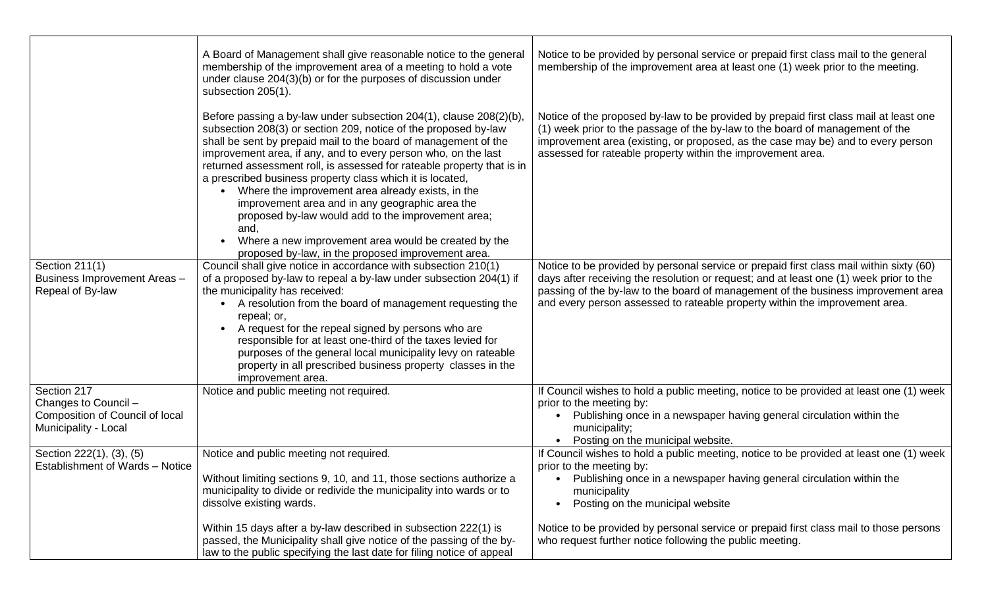|                                                                    | A Board of Management shall give reasonable notice to the general<br>membership of the improvement area of a meeting to hold a vote<br>under clause 204(3)(b) or for the purposes of discussion under<br>subsection 205(1).                                                                                                                                                                                                                                                                                                                                                                                                                     | Notice to be provided by personal service or prepaid first class mail to the general<br>membership of the improvement area at least one (1) week prior to the meeting.                                                                                                                                                                                |
|--------------------------------------------------------------------|-------------------------------------------------------------------------------------------------------------------------------------------------------------------------------------------------------------------------------------------------------------------------------------------------------------------------------------------------------------------------------------------------------------------------------------------------------------------------------------------------------------------------------------------------------------------------------------------------------------------------------------------------|-------------------------------------------------------------------------------------------------------------------------------------------------------------------------------------------------------------------------------------------------------------------------------------------------------------------------------------------------------|
|                                                                    | Before passing a by-law under subsection 204(1), clause 208(2)(b),<br>subsection 208(3) or section 209, notice of the proposed by-law<br>shall be sent by prepaid mail to the board of management of the<br>improvement area, if any, and to every person who, on the last<br>returned assessment roll, is assessed for rateable property that is in<br>a prescribed business property class which it is located,<br>Where the improvement area already exists, in the<br>improvement area and in any geographic area the<br>proposed by-law would add to the improvement area;<br>and,<br>Where a new improvement area would be created by the | Notice of the proposed by-law to be provided by prepaid first class mail at least one<br>(1) week prior to the passage of the by-law to the board of management of the<br>improvement area (existing, or proposed, as the case may be) and to every person<br>assessed for rateable property within the improvement area.                             |
|                                                                    | proposed by-law, in the proposed improvement area.                                                                                                                                                                                                                                                                                                                                                                                                                                                                                                                                                                                              |                                                                                                                                                                                                                                                                                                                                                       |
| Section 211(1)<br>Business Improvement Areas -<br>Repeal of By-law | Council shall give notice in accordance with subsection 210(1)<br>of a proposed by-law to repeal a by-law under subsection 204(1) if<br>the municipality has received:<br>A resolution from the board of management requesting the<br>repeal; or,<br>A request for the repeal signed by persons who are<br>responsible for at least one-third of the taxes levied for<br>purposes of the general local municipality levy on rateable<br>property in all prescribed business property classes in the<br>improvement area.                                                                                                                        | Notice to be provided by personal service or prepaid first class mail within sixty (60)<br>days after receiving the resolution or request; and at least one (1) week prior to the<br>passing of the by-law to the board of management of the business improvement area<br>and every person assessed to rateable property within the improvement area. |
| Section 217                                                        | Notice and public meeting not required.                                                                                                                                                                                                                                                                                                                                                                                                                                                                                                                                                                                                         | If Council wishes to hold a public meeting, notice to be provided at least one (1) week                                                                                                                                                                                                                                                               |
| Changes to Council -                                               |                                                                                                                                                                                                                                                                                                                                                                                                                                                                                                                                                                                                                                                 | prior to the meeting by:                                                                                                                                                                                                                                                                                                                              |
| Composition of Council of local<br>Municipality - Local            |                                                                                                                                                                                                                                                                                                                                                                                                                                                                                                                                                                                                                                                 | Publishing once in a newspaper having general circulation within the<br>municipality;<br>Posting on the municipal website.                                                                                                                                                                                                                            |
| Section 222(1), (3), (5)                                           | Notice and public meeting not required.                                                                                                                                                                                                                                                                                                                                                                                                                                                                                                                                                                                                         | If Council wishes to hold a public meeting, notice to be provided at least one (1) week                                                                                                                                                                                                                                                               |
| Establishment of Wards - Notice                                    |                                                                                                                                                                                                                                                                                                                                                                                                                                                                                                                                                                                                                                                 | prior to the meeting by:                                                                                                                                                                                                                                                                                                                              |
|                                                                    | Without limiting sections 9, 10, and 11, those sections authorize a                                                                                                                                                                                                                                                                                                                                                                                                                                                                                                                                                                             | Publishing once in a newspaper having general circulation within the                                                                                                                                                                                                                                                                                  |
|                                                                    | municipality to divide or redivide the municipality into wards or to                                                                                                                                                                                                                                                                                                                                                                                                                                                                                                                                                                            | municipality                                                                                                                                                                                                                                                                                                                                          |
|                                                                    | dissolve existing wards.                                                                                                                                                                                                                                                                                                                                                                                                                                                                                                                                                                                                                        | Posting on the municipal website                                                                                                                                                                                                                                                                                                                      |
|                                                                    | Within 15 days after a by-law described in subsection 222(1) is                                                                                                                                                                                                                                                                                                                                                                                                                                                                                                                                                                                 | Notice to be provided by personal service or prepaid first class mail to those persons                                                                                                                                                                                                                                                                |
|                                                                    | passed, the Municipality shall give notice of the passing of the by-<br>law to the public specifying the last date for filing notice of appeal                                                                                                                                                                                                                                                                                                                                                                                                                                                                                                  | who request further notice following the public meeting.                                                                                                                                                                                                                                                                                              |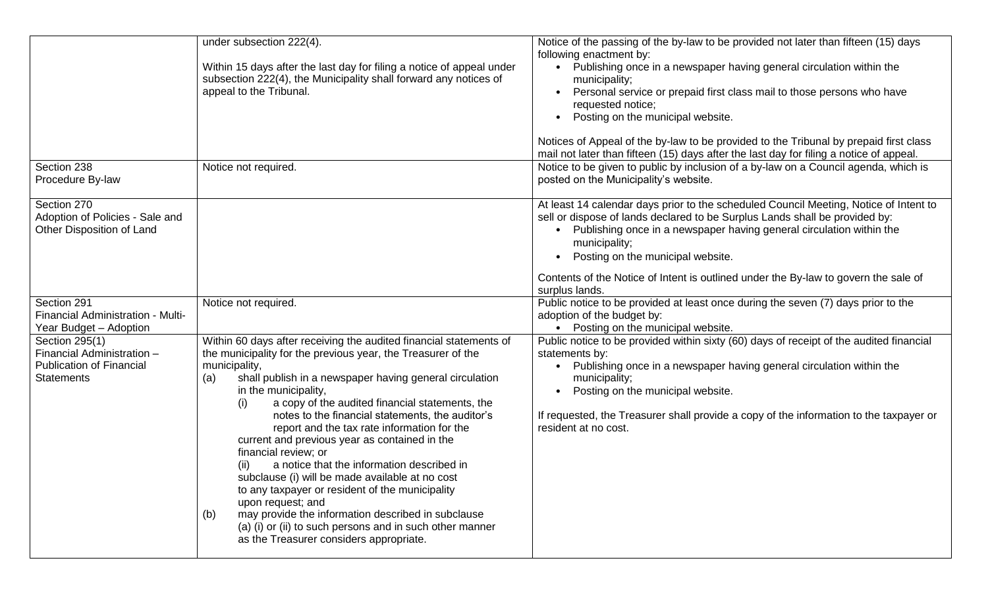|                                                                                                      | under subsection 222(4).<br>Within 15 days after the last day for filing a notice of appeal under<br>subsection 222(4), the Municipality shall forward any notices of<br>appeal to the Tribunal.                                                                                                                                                                                                                                                                                                                                                                                                                                                                                                                                                                                                                                         | Notice of the passing of the by-law to be provided not later than fifteen (15) days<br>following enactment by:<br>• Publishing once in a newspaper having general circulation within the<br>municipality;<br>Personal service or prepaid first class mail to those persons who have<br>requested notice;<br>Posting on the municipal website.<br>Notices of Appeal of the by-law to be provided to the Tribunal by prepaid first class<br>mail not later than fifteen (15) days after the last day for filing a notice of appeal. |
|------------------------------------------------------------------------------------------------------|------------------------------------------------------------------------------------------------------------------------------------------------------------------------------------------------------------------------------------------------------------------------------------------------------------------------------------------------------------------------------------------------------------------------------------------------------------------------------------------------------------------------------------------------------------------------------------------------------------------------------------------------------------------------------------------------------------------------------------------------------------------------------------------------------------------------------------------|-----------------------------------------------------------------------------------------------------------------------------------------------------------------------------------------------------------------------------------------------------------------------------------------------------------------------------------------------------------------------------------------------------------------------------------------------------------------------------------------------------------------------------------|
| Section 238<br>Procedure By-law                                                                      | Notice not required.                                                                                                                                                                                                                                                                                                                                                                                                                                                                                                                                                                                                                                                                                                                                                                                                                     | Notice to be given to public by inclusion of a by-law on a Council agenda, which is<br>posted on the Municipality's website.                                                                                                                                                                                                                                                                                                                                                                                                      |
| Section 270<br>Adoption of Policies - Sale and<br>Other Disposition of Land                          |                                                                                                                                                                                                                                                                                                                                                                                                                                                                                                                                                                                                                                                                                                                                                                                                                                          | At least 14 calendar days prior to the scheduled Council Meeting, Notice of Intent to<br>sell or dispose of lands declared to be Surplus Lands shall be provided by:<br>Publishing once in a newspaper having general circulation within the<br>municipality;<br>Posting on the municipal website.<br>Contents of the Notice of Intent is outlined under the By-law to govern the sale of<br>surplus lands.                                                                                                                       |
| Section 291<br>Financial Administration - Multi-<br>Year Budget - Adoption                           | Notice not required.                                                                                                                                                                                                                                                                                                                                                                                                                                                                                                                                                                                                                                                                                                                                                                                                                     | Public notice to be provided at least once during the seven (7) days prior to the<br>adoption of the budget by:<br>Posting on the municipal website.                                                                                                                                                                                                                                                                                                                                                                              |
| Section 295(1)<br>Financial Administration -<br><b>Publication of Financial</b><br><b>Statements</b> | Within 60 days after receiving the audited financial statements of<br>the municipality for the previous year, the Treasurer of the<br>municipality,<br>shall publish in a newspaper having general circulation<br>(a)<br>in the municipality,<br>a copy of the audited financial statements, the<br>(i)<br>notes to the financial statements, the auditor's<br>report and the tax rate information for the<br>current and previous year as contained in the<br>financial review; or<br>a notice that the information described in<br>(ii)<br>subclause (i) will be made available at no cost<br>to any taxpayer or resident of the municipality<br>upon request; and<br>may provide the information described in subclause<br>(b)<br>(a) (i) or (ii) to such persons and in such other manner<br>as the Treasurer considers appropriate. | Public notice to be provided within sixty (60) days of receipt of the audited financial<br>statements by:<br>Publishing once in a newspaper having general circulation within the<br>municipality;<br>Posting on the municipal website.<br>If requested, the Treasurer shall provide a copy of the information to the taxpayer or<br>resident at no cost.                                                                                                                                                                         |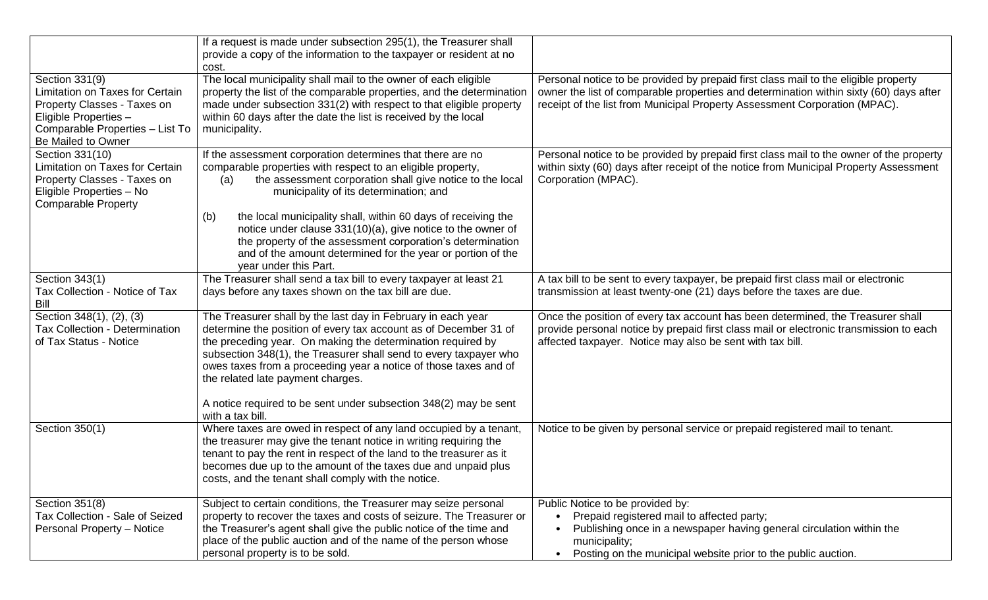|                                                          | If a request is made under subsection 295(1), the Treasurer shall                                                                      |                                                                                         |
|----------------------------------------------------------|----------------------------------------------------------------------------------------------------------------------------------------|-----------------------------------------------------------------------------------------|
|                                                          | provide a copy of the information to the taxpayer or resident at no                                                                    |                                                                                         |
|                                                          | cost.                                                                                                                                  |                                                                                         |
| Section 331(9)                                           | The local municipality shall mail to the owner of each eligible                                                                        | Personal notice to be provided by prepaid first class mail to the eligible property     |
| <b>Limitation on Taxes for Certain</b>                   | property the list of the comparable properties, and the determination                                                                  | owner the list of comparable properties and determination within sixty (60) days after  |
| Property Classes - Taxes on                              | made under subsection 331(2) with respect to that eligible property<br>within 60 days after the date the list is received by the local | receipt of the list from Municipal Property Assessment Corporation (MPAC).              |
| Eligible Properties -<br>Comparable Properties - List To | municipality.                                                                                                                          |                                                                                         |
| Be Mailed to Owner                                       |                                                                                                                                        |                                                                                         |
| Section 331(10)                                          | If the assessment corporation determines that there are no                                                                             | Personal notice to be provided by prepaid first class mail to the owner of the property |
| <b>Limitation on Taxes for Certain</b>                   | comparable properties with respect to an eligible property,                                                                            | within sixty (60) days after receipt of the notice from Municipal Property Assessment   |
| Property Classes - Taxes on                              | the assessment corporation shall give notice to the local<br>(a)                                                                       | Corporation (MPAC).                                                                     |
| Eligible Properties - No                                 | municipality of its determination; and                                                                                                 |                                                                                         |
| <b>Comparable Property</b>                               |                                                                                                                                        |                                                                                         |
|                                                          | the local municipality shall, within 60 days of receiving the<br>(b)                                                                   |                                                                                         |
|                                                          | notice under clause 331(10)(a), give notice to the owner of                                                                            |                                                                                         |
|                                                          | the property of the assessment corporation's determination                                                                             |                                                                                         |
|                                                          | and of the amount determined for the year or portion of the                                                                            |                                                                                         |
|                                                          | year under this Part.                                                                                                                  |                                                                                         |
| Section 343(1)                                           | The Treasurer shall send a tax bill to every taxpayer at least 21                                                                      | A tax bill to be sent to every taxpayer, be prepaid first class mail or electronic      |
| Tax Collection - Notice of Tax<br><b>Bill</b>            | days before any taxes shown on the tax bill are due.                                                                                   | transmission at least twenty-one (21) days before the taxes are due.                    |
| Section 348(1), (2), (3)                                 | The Treasurer shall by the last day in February in each year                                                                           | Once the position of every tax account has been determined, the Treasurer shall         |
| <b>Tax Collection - Determination</b>                    | determine the position of every tax account as of December 31 of                                                                       | provide personal notice by prepaid first class mail or electronic transmission to each  |
| of Tax Status - Notice                                   | the preceding year. On making the determination required by                                                                            | affected taxpayer. Notice may also be sent with tax bill.                               |
|                                                          | subsection 348(1), the Treasurer shall send to every taxpayer who                                                                      |                                                                                         |
|                                                          | owes taxes from a proceeding year a notice of those taxes and of                                                                       |                                                                                         |
|                                                          | the related late payment charges.                                                                                                      |                                                                                         |
|                                                          |                                                                                                                                        |                                                                                         |
|                                                          | A notice required to be sent under subsection 348(2) may be sent                                                                       |                                                                                         |
|                                                          | with a tax bill.                                                                                                                       |                                                                                         |
| Section 350(1)                                           | Where taxes are owed in respect of any land occupied by a tenant,                                                                      | Notice to be given by personal service or prepaid registered mail to tenant.            |
|                                                          | the treasurer may give the tenant notice in writing requiring the                                                                      |                                                                                         |
|                                                          | tenant to pay the rent in respect of the land to the treasurer as it                                                                   |                                                                                         |
|                                                          | becomes due up to the amount of the taxes due and unpaid plus<br>costs, and the tenant shall comply with the notice.                   |                                                                                         |
|                                                          |                                                                                                                                        |                                                                                         |
| Section 351(8)                                           | Subject to certain conditions, the Treasurer may seize personal                                                                        | Public Notice to be provided by:                                                        |
| Tax Collection - Sale of Seized                          | property to recover the taxes and costs of seizure. The Treasurer or                                                                   | Prepaid registered mail to affected party;                                              |
| Personal Property - Notice                               | the Treasurer's agent shall give the public notice of the time and                                                                     | Publishing once in a newspaper having general circulation within the                    |
|                                                          | place of the public auction and of the name of the person whose                                                                        | municipality;                                                                           |
|                                                          | personal property is to be sold.                                                                                                       | Posting on the municipal website prior to the public auction.<br>$\bullet$              |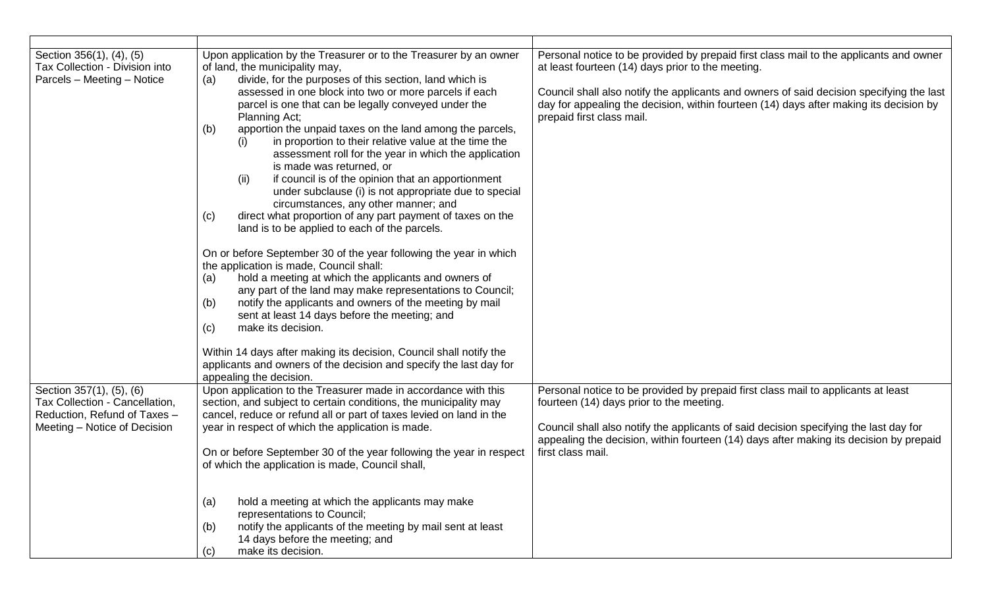| Section 356(1), (4), (5)<br>Tax Collection - Division into<br>Parcels - Meeting - Notice                                   | Upon application by the Treasurer or to the Treasurer by an owner<br>of land, the municipality may,<br>divide, for the purposes of this section, land which is<br>(a)<br>assessed in one block into two or more parcels if each<br>parcel is one that can be legally conveyed under the<br>Planning Act;<br>apportion the unpaid taxes on the land among the parcels,<br>(b)<br>in proportion to their relative value at the time the<br>(i)<br>assessment roll for the year in which the application<br>is made was returned, or<br>if council is of the opinion that an apportionment<br>(ii)<br>under subclause (i) is not appropriate due to special<br>circumstances, any other manner; and<br>direct what proportion of any part payment of taxes on the<br>(c)<br>land is to be applied to each of the parcels.<br>On or before September 30 of the year following the year in which<br>the application is made, Council shall:<br>hold a meeting at which the applicants and owners of<br>(a)<br>any part of the land may make representations to Council;<br>notify the applicants and owners of the meeting by mail<br>(b)<br>sent at least 14 days before the meeting; and<br>make its decision.<br>(c)<br>Within 14 days after making its decision, Council shall notify the | Personal notice to be provided by prepaid first class mail to the applicants and owner<br>at least fourteen (14) days prior to the meeting.<br>Council shall also notify the applicants and owners of said decision specifying the last<br>day for appealing the decision, within fourteen (14) days after making its decision by<br>prepaid first class mail. |
|----------------------------------------------------------------------------------------------------------------------------|------------------------------------------------------------------------------------------------------------------------------------------------------------------------------------------------------------------------------------------------------------------------------------------------------------------------------------------------------------------------------------------------------------------------------------------------------------------------------------------------------------------------------------------------------------------------------------------------------------------------------------------------------------------------------------------------------------------------------------------------------------------------------------------------------------------------------------------------------------------------------------------------------------------------------------------------------------------------------------------------------------------------------------------------------------------------------------------------------------------------------------------------------------------------------------------------------------------------------------------------------------------------------------------|----------------------------------------------------------------------------------------------------------------------------------------------------------------------------------------------------------------------------------------------------------------------------------------------------------------------------------------------------------------|
|                                                                                                                            | applicants and owners of the decision and specify the last day for<br>appealing the decision.                                                                                                                                                                                                                                                                                                                                                                                                                                                                                                                                                                                                                                                                                                                                                                                                                                                                                                                                                                                                                                                                                                                                                                                            |                                                                                                                                                                                                                                                                                                                                                                |
| Section 357(1), (5), (6)<br>Tax Collection - Cancellation,<br>Reduction, Refund of Taxes -<br>Meeting – Notice of Decision | Upon application to the Treasurer made in accordance with this<br>section, and subject to certain conditions, the municipality may<br>cancel, reduce or refund all or part of taxes levied on land in the<br>year in respect of which the application is made.<br>On or before September 30 of the year following the year in respect<br>of which the application is made, Council shall,                                                                                                                                                                                                                                                                                                                                                                                                                                                                                                                                                                                                                                                                                                                                                                                                                                                                                                | Personal notice to be provided by prepaid first class mail to applicants at least<br>fourteen (14) days prior to the meeting.<br>Council shall also notify the applicants of said decision specifying the last day for<br>appealing the decision, within fourteen (14) days after making its decision by prepaid<br>first class mail.                          |
|                                                                                                                            | (a)<br>hold a meeting at which the applicants may make<br>representations to Council;<br>notify the applicants of the meeting by mail sent at least<br>(b)<br>14 days before the meeting; and<br>make its decision.<br>(c)                                                                                                                                                                                                                                                                                                                                                                                                                                                                                                                                                                                                                                                                                                                                                                                                                                                                                                                                                                                                                                                               |                                                                                                                                                                                                                                                                                                                                                                |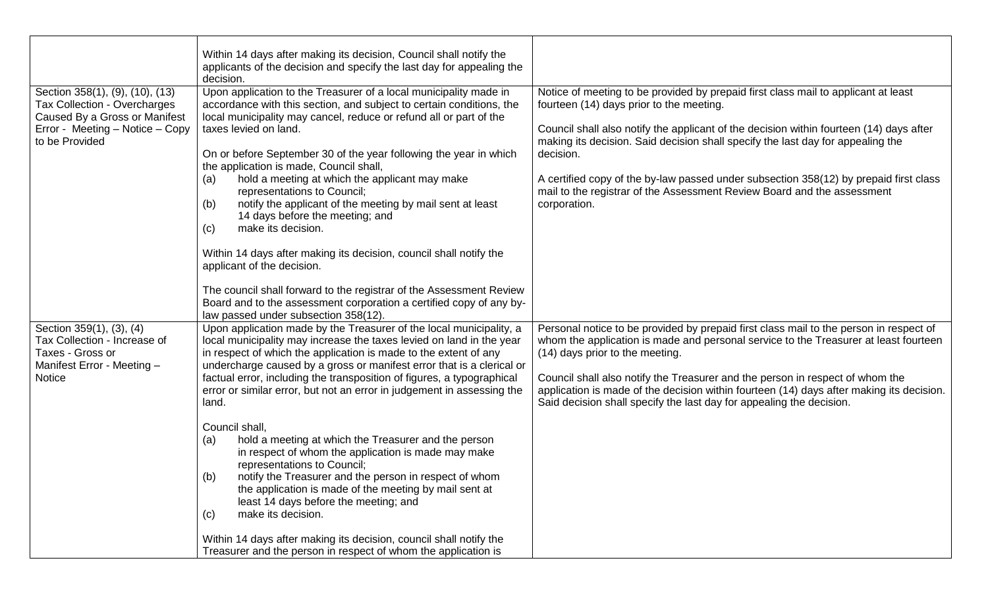|                                                                                                                                                       | Within 14 days after making its decision, Council shall notify the<br>applicants of the decision and specify the last day for appealing the<br>decision.                                                                                                                                                                                                                                                                                                                                                                                                                                                                                                                                                                                                                                                                                                                                                                                                                                                      |                                                                                                                                                                                                                                                                                                                                                                                                                                                                                                               |
|-------------------------------------------------------------------------------------------------------------------------------------------------------|---------------------------------------------------------------------------------------------------------------------------------------------------------------------------------------------------------------------------------------------------------------------------------------------------------------------------------------------------------------------------------------------------------------------------------------------------------------------------------------------------------------------------------------------------------------------------------------------------------------------------------------------------------------------------------------------------------------------------------------------------------------------------------------------------------------------------------------------------------------------------------------------------------------------------------------------------------------------------------------------------------------|---------------------------------------------------------------------------------------------------------------------------------------------------------------------------------------------------------------------------------------------------------------------------------------------------------------------------------------------------------------------------------------------------------------------------------------------------------------------------------------------------------------|
| Section 358(1), (9), (10), (13)<br>Tax Collection - Overcharges<br>Caused By a Gross or Manifest<br>Error - Meeting - Notice - Copy<br>to be Provided | Upon application to the Treasurer of a local municipality made in<br>accordance with this section, and subject to certain conditions, the<br>local municipality may cancel, reduce or refund all or part of the<br>taxes levied on land.<br>On or before September 30 of the year following the year in which<br>the application is made, Council shall,<br>hold a meeting at which the applicant may make<br>(a)<br>representations to Council;<br>notify the applicant of the meeting by mail sent at least<br>(b)<br>14 days before the meeting; and<br>make its decision.<br>(c)<br>Within 14 days after making its decision, council shall notify the<br>applicant of the decision.<br>The council shall forward to the registrar of the Assessment Review<br>Board and to the assessment corporation a certified copy of any by-                                                                                                                                                                        | Notice of meeting to be provided by prepaid first class mail to applicant at least<br>fourteen (14) days prior to the meeting.<br>Council shall also notify the applicant of the decision within fourteen (14) days after<br>making its decision. Said decision shall specify the last day for appealing the<br>decision.<br>A certified copy of the by-law passed under subsection 358(12) by prepaid first class<br>mail to the registrar of the Assessment Review Board and the assessment<br>corporation. |
| Section 359(1), (3), (4)<br>Tax Collection - Increase of<br>Taxes - Gross or<br>Manifest Error - Meeting -<br><b>Notice</b>                           | law passed under subsection 358(12).<br>Upon application made by the Treasurer of the local municipality, a<br>local municipality may increase the taxes levied on land in the year<br>in respect of which the application is made to the extent of any<br>undercharge caused by a gross or manifest error that is a clerical or<br>factual error, including the transposition of figures, a typographical<br>error or similar error, but not an error in judgement in assessing the<br>land.<br>Council shall,<br>hold a meeting at which the Treasurer and the person<br>(a)<br>in respect of whom the application is made may make<br>representations to Council;<br>notify the Treasurer and the person in respect of whom<br>(b)<br>the application is made of the meeting by mail sent at<br>least 14 days before the meeting; and<br>make its decision.<br>(c)<br>Within 14 days after making its decision, council shall notify the<br>Treasurer and the person in respect of whom the application is | Personal notice to be provided by prepaid first class mail to the person in respect of<br>whom the application is made and personal service to the Treasurer at least fourteen<br>(14) days prior to the meeting.<br>Council shall also notify the Treasurer and the person in respect of whom the<br>application is made of the decision within fourteen (14) days after making its decision.<br>Said decision shall specify the last day for appealing the decision.                                        |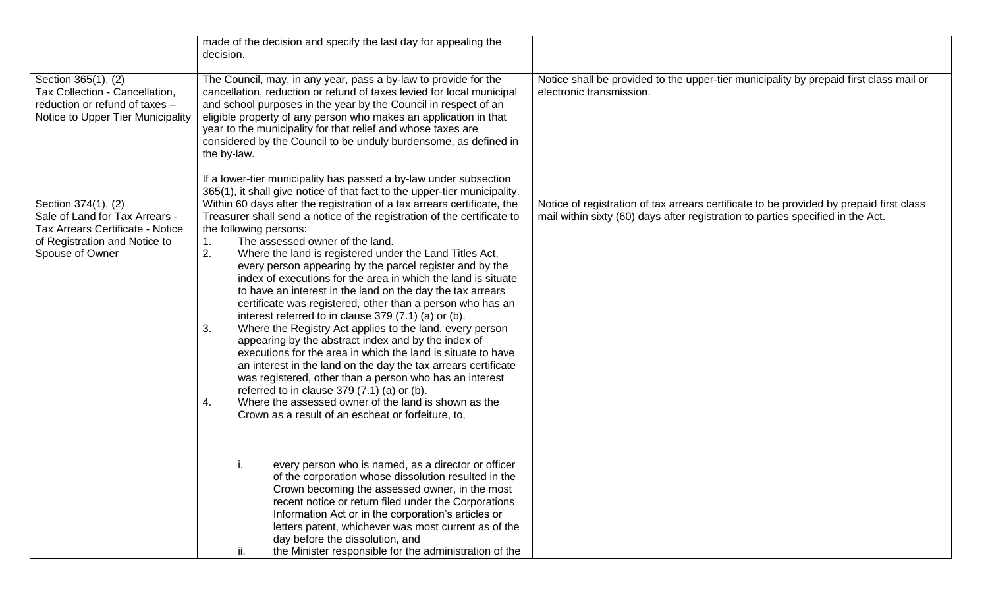|                                                                                                                                                      | made of the decision and specify the last day for appealing the<br>decision.                                                                                                                                                                                                                                                                                                                                                                                                                                                                                                                                                                                                                                                                                                                                                                                                                                                                                                                                                                                                                      |                                                                                                                                                                            |
|------------------------------------------------------------------------------------------------------------------------------------------------------|---------------------------------------------------------------------------------------------------------------------------------------------------------------------------------------------------------------------------------------------------------------------------------------------------------------------------------------------------------------------------------------------------------------------------------------------------------------------------------------------------------------------------------------------------------------------------------------------------------------------------------------------------------------------------------------------------------------------------------------------------------------------------------------------------------------------------------------------------------------------------------------------------------------------------------------------------------------------------------------------------------------------------------------------------------------------------------------------------|----------------------------------------------------------------------------------------------------------------------------------------------------------------------------|
| Section 365(1), (2)<br>Tax Collection - Cancellation,<br>reduction or refund of taxes -<br>Notice to Upper Tier Municipality                         | The Council, may, in any year, pass a by-law to provide for the<br>cancellation, reduction or refund of taxes levied for local municipal<br>and school purposes in the year by the Council in respect of an<br>eligible property of any person who makes an application in that<br>year to the municipality for that relief and whose taxes are<br>considered by the Council to be unduly burdensome, as defined in<br>the by-law.<br>If a lower-tier municipality has passed a by-law under subsection<br>365(1), it shall give notice of that fact to the upper-tier municipality.                                                                                                                                                                                                                                                                                                                                                                                                                                                                                                              | Notice shall be provided to the upper-tier municipality by prepaid first class mail or<br>electronic transmission.                                                         |
| Section 374(1), (2)<br>Sale of Land for Tax Arrears -<br><b>Tax Arrears Certificate - Notice</b><br>of Registration and Notice to<br>Spouse of Owner | Within 60 days after the registration of a tax arrears certificate, the<br>Treasurer shall send a notice of the registration of the certificate to<br>the following persons:<br>The assessed owner of the land.<br>1.<br>2.<br>Where the land is registered under the Land Titles Act,<br>every person appearing by the parcel register and by the<br>index of executions for the area in which the land is situate<br>to have an interest in the land on the day the tax arrears<br>certificate was registered, other than a person who has an<br>interest referred to in clause 379 (7.1) (a) or (b).<br>3.<br>Where the Registry Act applies to the land, every person<br>appearing by the abstract index and by the index of<br>executions for the area in which the land is situate to have<br>an interest in the land on the day the tax arrears certificate<br>was registered, other than a person who has an interest<br>referred to in clause $379(7.1)$ (a) or (b).<br>Where the assessed owner of the land is shown as the<br>4.<br>Crown as a result of an escheat or forfeiture, to, | Notice of registration of tax arrears certificate to be provided by prepaid first class<br>mail within sixty (60) days after registration to parties specified in the Act. |
|                                                                                                                                                      | every person who is named, as a director or officer<br>of the corporation whose dissolution resulted in the<br>Crown becoming the assessed owner, in the most<br>recent notice or return filed under the Corporations<br>Information Act or in the corporation's articles or<br>letters patent, whichever was most current as of the<br>day before the dissolution, and<br>the Minister responsible for the administration of the<br>Ш.                                                                                                                                                                                                                                                                                                                                                                                                                                                                                                                                                                                                                                                           |                                                                                                                                                                            |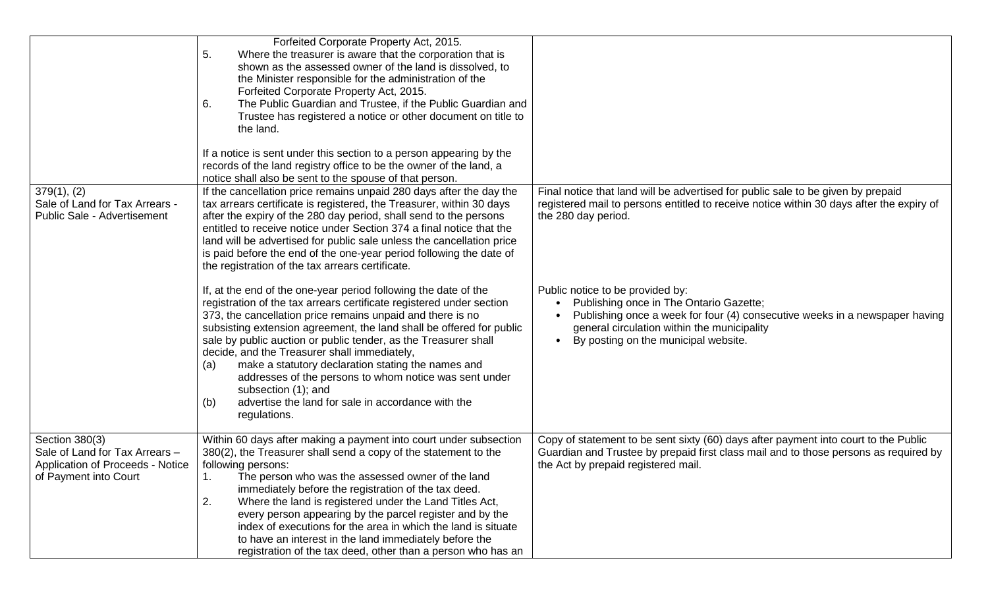|                                                                                                               | Forfeited Corporate Property Act, 2015.<br>5.<br>Where the treasurer is aware that the corporation that is<br>shown as the assessed owner of the land is dissolved, to<br>the Minister responsible for the administration of the<br>Forfeited Corporate Property Act, 2015.<br>The Public Guardian and Trustee, if the Public Guardian and<br>6.<br>Trustee has registered a notice or other document on title to<br>the land.<br>If a notice is sent under this section to a person appearing by the<br>records of the land registry office to be the owner of the land, a<br>notice shall also be sent to the spouse of that person. |                                                                                                                                                                                                                                                   |
|---------------------------------------------------------------------------------------------------------------|----------------------------------------------------------------------------------------------------------------------------------------------------------------------------------------------------------------------------------------------------------------------------------------------------------------------------------------------------------------------------------------------------------------------------------------------------------------------------------------------------------------------------------------------------------------------------------------------------------------------------------------|---------------------------------------------------------------------------------------------------------------------------------------------------------------------------------------------------------------------------------------------------|
| 379(1), (2)<br>Sale of Land for Tax Arrears -<br><b>Public Sale - Advertisement</b>                           | If the cancellation price remains unpaid 280 days after the day the<br>tax arrears certificate is registered, the Treasurer, within 30 days<br>after the expiry of the 280 day period, shall send to the persons<br>entitled to receive notice under Section 374 a final notice that the<br>land will be advertised for public sale unless the cancellation price<br>is paid before the end of the one-year period following the date of<br>the registration of the tax arrears certificate.                                                                                                                                           | Final notice that land will be advertised for public sale to be given by prepaid<br>registered mail to persons entitled to receive notice within 30 days after the expiry of<br>the 280 day period.                                               |
|                                                                                                               | If, at the end of the one-year period following the date of the<br>registration of the tax arrears certificate registered under section<br>373, the cancellation price remains unpaid and there is no<br>subsisting extension agreement, the land shall be offered for public<br>sale by public auction or public tender, as the Treasurer shall<br>decide, and the Treasurer shall immediately,<br>make a statutory declaration stating the names and<br>(a)<br>addresses of the persons to whom notice was sent under<br>subsection (1); and<br>advertise the land for sale in accordance with the<br>(b)<br>regulations.            | Public notice to be provided by:<br>Publishing once in The Ontario Gazette;<br>Publishing once a week for four (4) consecutive weeks in a newspaper having<br>general circulation within the municipality<br>By posting on the municipal website. |
| Section 380(3)<br>Sale of Land for Tax Arrears -<br>Application of Proceeds - Notice<br>of Payment into Court | Within 60 days after making a payment into court under subsection<br>380(2), the Treasurer shall send a copy of the statement to the<br>following persons:<br>The person who was the assessed owner of the land<br>1.<br>immediately before the registration of the tax deed.<br>2.<br>Where the land is registered under the Land Titles Act,<br>every person appearing by the parcel register and by the<br>index of executions for the area in which the land is situate<br>to have an interest in the land immediately before the<br>registration of the tax deed, other than a person who has an                                  | Copy of statement to be sent sixty (60) days after payment into court to the Public<br>Guardian and Trustee by prepaid first class mail and to those persons as required by<br>the Act by prepaid registered mail.                                |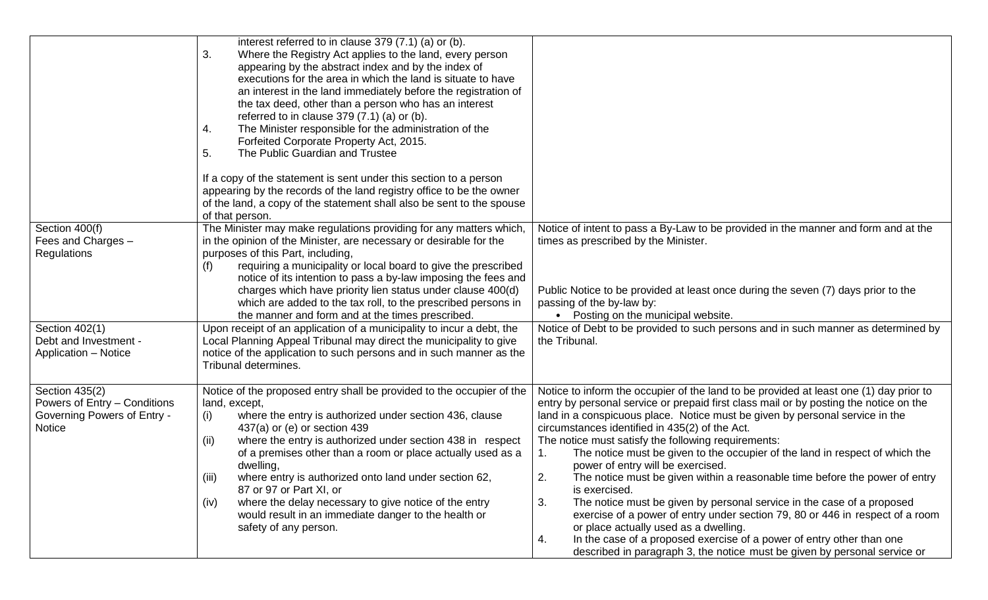|                                                                                                | interest referred to in clause 379 (7.1) (a) or (b).<br>3.<br>Where the Registry Act applies to the land, every person<br>appearing by the abstract index and by the index of<br>executions for the area in which the land is situate to have<br>an interest in the land immediately before the registration of<br>the tax deed, other than a person who has an interest<br>referred to in clause $379(7.1)$ (a) or (b).<br>The Minister responsible for the administration of the<br>4.<br>Forfeited Corporate Property Act, 2015.<br>5.<br>The Public Guardian and Trustee<br>If a copy of the statement is sent under this section to a person<br>appearing by the records of the land registry office to be the owner<br>of the land, a copy of the statement shall also be sent to the spouse |                                                                                                                                                                                                                                                                                                                                                                                                                                                                                                                                                                                                                                                                                                                                                                                                                                                                                                                                                                                 |
|------------------------------------------------------------------------------------------------|----------------------------------------------------------------------------------------------------------------------------------------------------------------------------------------------------------------------------------------------------------------------------------------------------------------------------------------------------------------------------------------------------------------------------------------------------------------------------------------------------------------------------------------------------------------------------------------------------------------------------------------------------------------------------------------------------------------------------------------------------------------------------------------------------|---------------------------------------------------------------------------------------------------------------------------------------------------------------------------------------------------------------------------------------------------------------------------------------------------------------------------------------------------------------------------------------------------------------------------------------------------------------------------------------------------------------------------------------------------------------------------------------------------------------------------------------------------------------------------------------------------------------------------------------------------------------------------------------------------------------------------------------------------------------------------------------------------------------------------------------------------------------------------------|
| Section 400(f)<br>Fees and Charges -<br>Regulations<br>Section 402(1)<br>Debt and Investment - | of that person.<br>The Minister may make regulations providing for any matters which,<br>in the opinion of the Minister, are necessary or desirable for the<br>purposes of this Part, including,<br>requiring a municipality or local board to give the prescribed<br>(f)<br>notice of its intention to pass a by-law imposing the fees and<br>charges which have priority lien status under clause 400(d)<br>which are added to the tax roll, to the prescribed persons in<br>the manner and form and at the times prescribed.<br>Upon receipt of an application of a municipality to incur a debt, the<br>Local Planning Appeal Tribunal may direct the municipality to give                                                                                                                     | Notice of intent to pass a By-Law to be provided in the manner and form and at the<br>times as prescribed by the Minister.<br>Public Notice to be provided at least once during the seven (7) days prior to the<br>passing of the by-law by:<br>• Posting on the municipal website.<br>Notice of Debt to be provided to such persons and in such manner as determined by<br>the Tribunal.                                                                                                                                                                                                                                                                                                                                                                                                                                                                                                                                                                                       |
| <b>Application - Notice</b>                                                                    | notice of the application to such persons and in such manner as the<br>Tribunal determines.                                                                                                                                                                                                                                                                                                                                                                                                                                                                                                                                                                                                                                                                                                        |                                                                                                                                                                                                                                                                                                                                                                                                                                                                                                                                                                                                                                                                                                                                                                                                                                                                                                                                                                                 |
| Section 435(2)<br>Powers of Entry - Conditions<br>Governing Powers of Entry -<br><b>Notice</b> | Notice of the proposed entry shall be provided to the occupier of the<br>land, except,<br>where the entry is authorized under section 436, clause<br>(i)<br>437(a) or (e) or section 439<br>where the entry is authorized under section 438 in respect<br>(ii)<br>of a premises other than a room or place actually used as a<br>dwelling,<br>where entry is authorized onto land under section 62,<br>(iii)<br>87 or 97 or Part XI, or<br>(iv)<br>where the delay necessary to give notice of the entry<br>would result in an immediate danger to the health or<br>safety of any person.                                                                                                                                                                                                          | Notice to inform the occupier of the land to be provided at least one (1) day prior to<br>entry by personal service or prepaid first class mail or by posting the notice on the<br>land in a conspicuous place. Notice must be given by personal service in the<br>circumstances identified in 435(2) of the Act.<br>The notice must satisfy the following requirements:<br>The notice must be given to the occupier of the land in respect of which the<br>1.<br>power of entry will be exercised.<br>The notice must be given within a reasonable time before the power of entry<br>2.<br>is exercised.<br>3.<br>The notice must be given by personal service in the case of a proposed<br>exercise of a power of entry under section 79, 80 or 446 in respect of a room<br>or place actually used as a dwelling.<br>In the case of a proposed exercise of a power of entry other than one<br>4.<br>described in paragraph 3, the notice must be given by personal service or |